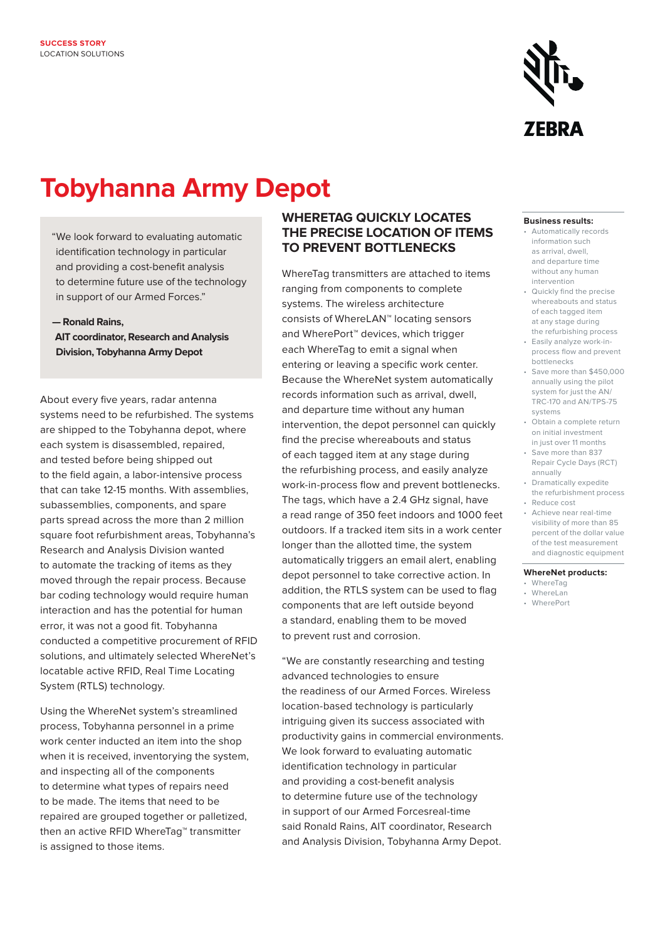

# **Tobyhanna Army Depot**

"We look forward to evaluating automatic identification technology in particular and providing a cost-benefit analysis to determine future use of the technology in support of our Armed Forces."

**— Ronald Rains,** 

**AIT coordinator, Research and Analysis Division, Tobyhanna Army Depot**

About every five years, radar antenna systems need to be refurbished. The systems are shipped to the Tobyhanna depot, where each system is disassembled, repaired, and tested before being shipped out to the field again, a labor-intensive process that can take 12-15 months. With assemblies, subassemblies, components, and spare parts spread across the more than 2 million square foot refurbishment areas, Tobyhanna's Research and Analysis Division wanted to automate the tracking of items as they moved through the repair process. Because bar coding technology would require human interaction and has the potential for human error, it was not a good fit. Tobyhanna conducted a competitive procurement of RFID solutions, and ultimately selected WhereNet's locatable active RFID, Real Time Locating System (RTLS) technology.

Using the WhereNet system's streamlined process, Tobyhanna personnel in a prime work center inducted an item into the shop when it is received, inventorying the system, and inspecting all of the components to determine what types of repairs need to be made. The items that need to be repaired are grouped together or palletized, then an active RFID WhereTag™ transmitter is assigned to those items.

#### **WhereTag quickly locates the precise location of items to prevent bottlenecks**

WhereTag transmitters are attached to items ranging from components to complete systems. The wireless architecture consists of WhereLAN™ locating sensors and WherePort<sup>™</sup> devices, which trigger each WhereTag to emit a signal when entering or leaving a specific work center. Because the WhereNet system automatically records information such as arrival, dwell, and departure time without any human intervention, the depot personnel can quickly find the precise whereabouts and status of each tagged item at any stage during the refurbishing process, and easily analyze work-in-process flow and prevent bottlenecks. The tags, which have a 2.4 GHz signal, have a read range of 350 feet indoors and 1000 feet outdoors. If a tracked item sits in a work center longer than the allotted time, the system automatically triggers an email alert, enabling depot personnel to take corrective action. In addition, the RTLS system can be used to flag components that are left outside beyond a standard, enabling them to be moved to prevent rust and corrosion.

"We are constantly researching and testing advanced technologies to ensure the readiness of our Armed Forces. Wireless location-based technology is particularly intriguing given its success associated with productivity gains in commercial environments. We look forward to evaluating automatic identification technology in particular and providing a cost-benefit analysis to determine future use of the technology in support of our Armed Forcesreal-time said Ronald Rains, AIT coordinator, Research and Analysis Division, Tobyhanna Army Depot.

#### **Business results:**

- Automatically records information such as arrival, dwell, and departure time without any human intervention
- • Quickly find the precise whereabouts and status of each tagged item at any stage during the refurbishing process
- Easily analyze work-inprocess flow and prevent bottlenecks
- Save more than \$450,000 annually using the pilot system for just the AN/ TRC-170 and AN/TPS-75 systems
- Obtain a complete return on initial investment in just over 11 months
- Save more than 837 Repair Cycle Days (RCT) annually
- • Dramatically expedite the refurbishment process
- visibility of more than 85 percent of the dollar value • Reduce cost • Achieve near real-time
- of the test measurement and diagnostic equipment

#### **WhereNet products:**

- • WhereTag
- • WhereLan
- • WherePort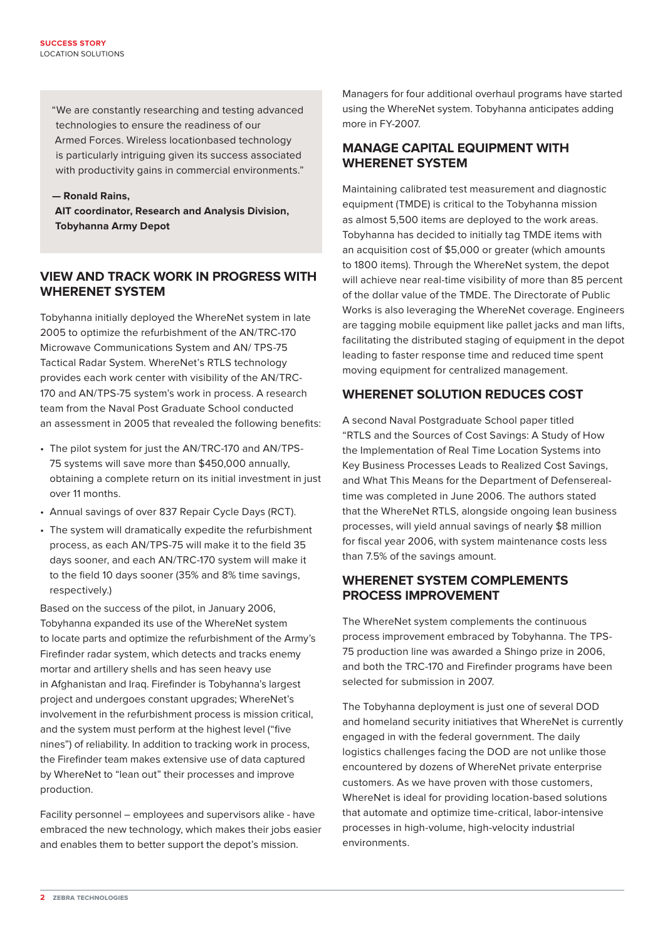"We are constantly researching and testing advanced technologies to ensure the readiness of our Armed Forces. Wireless locationbased technology is particularly intriguing given its success associated with productivity gains in commercial environments."

**— Ronald Rains,** 

**AIT coordinator, Research and Analysis Division, Tobyhanna Army Depot**

## **View and track work in progress with WhereNet system**

Tobyhanna initially deployed the WhereNet system in late 2005 to optimize the refurbishment of the AN/TRC-170 Microwave Communications System and AN/ TPS-75 Tactical Radar System. WhereNet's RTLS technology provides each work center with visibility of the AN/TRC-170 and AN/TPS-75 system's work in process. A research team from the Naval Post Graduate School conducted an assessment in 2005 that revealed the following benefits:

- The pilot system for just the AN/TRC-170 and AN/TPS-75 systems will save more than \$450,000 annually, obtaining a complete return on its initial investment in just over 11 months.
- Annual savings of over 837 Repair Cycle Days (RCT).
- The system will dramatically expedite the refurbishment process, as each AN/TPS-75 will make it to the field 35 days sooner, and each AN/TRC-170 system will make it to the field 10 days sooner (35% and 8% time savings, respectively.)

Based on the success of the pilot, in January 2006, Tobyhanna expanded its use of the WhereNet system to locate parts and optimize the refurbishment of the Army's Firefinder radar system, which detects and tracks enemy mortar and artillery shells and has seen heavy use in Afghanistan and Iraq. Firefinder is Tobyhanna's largest project and undergoes constant upgrades: WhereNet's involvement in the refurbishment process is mission critical, and the system must perform at the highest level ("five nines") of reliability. In addition to tracking work in process, the Firefinder team makes extensive use of data captured by WhereNet to "lean out" their processes and improve production. 

Facility personnel – employees and supervisors alike - have embraced the new technology, which makes their jobs easier and enables them to better support the depot's mission.

Managers for four additional overhaul programs have started using the WhereNet system. Tobyhanna anticipates adding more in FY-2007.

## **Manage capital equipment with WhereNet system**

Maintaining calibrated test measurement and diagnostic equipment (TMDE) is critical to the Tobyhanna mission as almost 5,500 items are deployed to the work areas. Tobyhanna has decided to initially tag TMDE items with an acquisition cost of \$5,000 or greater (which amounts to 1800 items). Through the WhereNet system, the depot will achieve near real-time visibility of more than 85 percent of the dollar value of the TMDE. The Directorate of Public Works is also leveraging the WhereNet coverage. Engineers are tagging mobile equipment like pallet jacks and man lifts, facilitating the distributed staging of equipment in the depot leading to faster response time and reduced time spent moving equipment for centralized management.

## **WhereNet solution reduces cost**

A second Naval Postgraduate School paper titled "RTLS and the Sources of Cost Savings: A Study of How the Implementation of Real Time Location Systems into Key Business Processes Leads to Realized Cost Savings, and What This Means for the Department of Defenserealtime was completed in June 2006. The authors stated that the WhereNet RTLS, alongside ongoing lean business processes, will yield annual savings of nearly \$8 million for fiscal year 2006, with system maintenance costs less than 7.5% of the savings amount.

## **WhereNet system complements process improvement**

The WhereNet system complements the continuous process improvement embraced by Tobyhanna. The TPS-75 production line was awarded a Shingo prize in 2006, and both the TRC-170 and Firefinder programs have been selected for submission in 2007.

The Tobyhanna deployment is just one of several DOD and homeland security initiatives that WhereNet is currently engaged in with the federal government. The daily logistics challenges facing the DOD are not unlike those encountered by dozens of WhereNet private enterprise customers. As we have proven with those customers, WhereNet is ideal for providing location-based solutions that automate and optimize time-critical, labor-intensive processes in high-volume, high-velocity industrial environments.